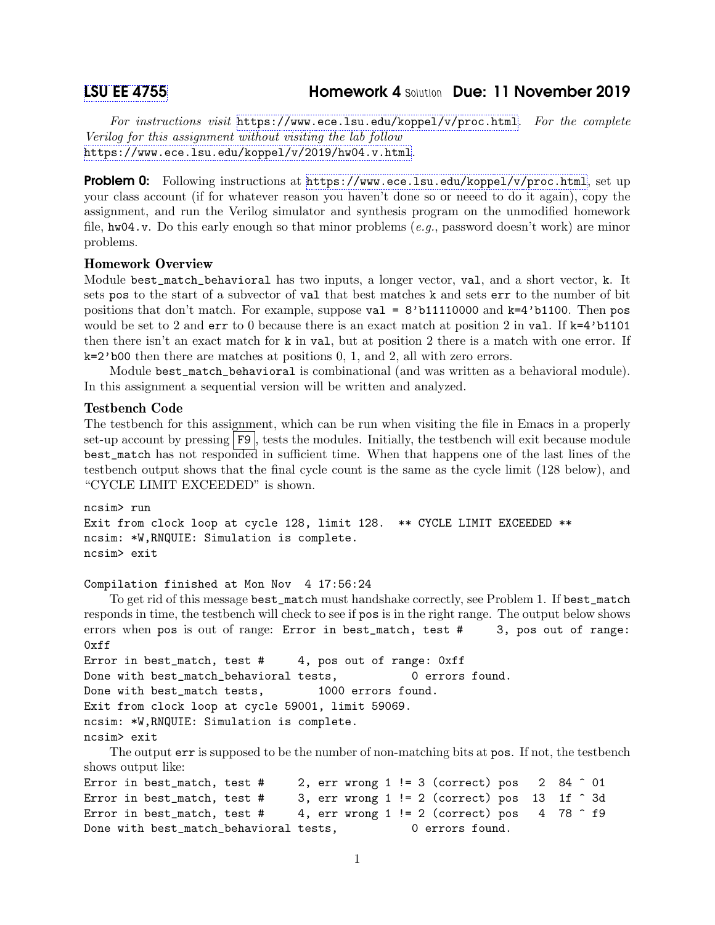# [LSU EE 4755](https://www.ece.lsu.edu/koppel/v/) Homework 4 Solution Due: 11 November 2019

For instructions visit <https://www.ece.lsu.edu/koppel/v/proc.html>. For the complete Verilog for this assignment without visiting the lab follow <https://www.ece.lsu.edu/koppel/v/2019/hw04.v.html>.

**Problem 0:** Following instructions at  $https://www.ece.lsu.edu/koppel/y/proc.html, set up$ your class account (if for whatever reason you haven't done so or neeed to do it again), copy the assignment, and run the Verilog simulator and synthesis program on the unmodified homework file,  $hwd4.v.$  Do this early enough so that minor problems (e.g., password doesn't work) are minor problems.

# Homework Overview

Module best\_match\_behavioral has two inputs, a longer vector, val, and a short vector, k. It sets pos to the start of a subvector of val that best matches k and sets err to the number of bit positions that don't match. For example, suppose  $val = 8'b11110000$  and  $k=4'b1100$ . Then pos would be set to 2 and  $err$  to 0 because there is an exact match at position 2 in val. If  $k=4$ 'b1101 then there isn't an exact match for k in val, but at position 2 there is a match with one error. If k=2'b00 then there are matches at positions 0, 1, and 2, all with zero errors.

Module best\_match\_behavioral is combinational (and was written as a behavioral module). In this assignment a sequential version will be written and analyzed.

### Testbench Code

The testbench for this assignment, which can be run when visiting the file in Emacs in a properly set-up account by pressing F9, tests the modules. Initially, the testbench will exit because module best\_match has not responded in sufficient time. When that happens one of the last lines of the testbench output shows that the final cycle count is the same as the cycle limit (128 below), and "CYCLE LIMIT EXCEEDED" is shown.

```
ncsim> run
Exit from clock loop at cycle 128, limit 128. ** CYCLE LIMIT EXCEEDED **
ncsim: *W,RNQUIE: Simulation is complete.
ncsim> exit
```
### Compilation finished at Mon Nov 4 17:56:24

To get rid of this message best\_match must handshake correctly, see Problem 1. If best\_match responds in time, the testbench will check to see if pos is in the right range. The output below shows errors when pos is out of range: Error in best\_match, test # 3, pos out of range:  $0xff$ 

```
Error in best_match, test # 4, pos out of range: 0xffDone with best_match_behavioral tests, 0 errors found.
Done with best_match tests, 1000 errors found.
Exit from clock loop at cycle 59001, limit 59069.
ncsim: *W,RNQUIE: Simulation is complete.
ncsim> exit
```
The output err is supposed to be the number of non-matching bits at pos. If not, the testbench shows output like:

```
Error in best_match, test # 2, err wrong 1 != 3 (correct) pos 2 84 \hat{ } 01
Error in best_match, test # 3, err wrong 1 != 2 (correct) pos 13 1f \hat{ } 3d
Error in best_match, test # 4, err wrong 1 != 2 (correct) pos 4 78 \hat{ } f9
Done with best_match_behavioral tests, 0 errors found.
```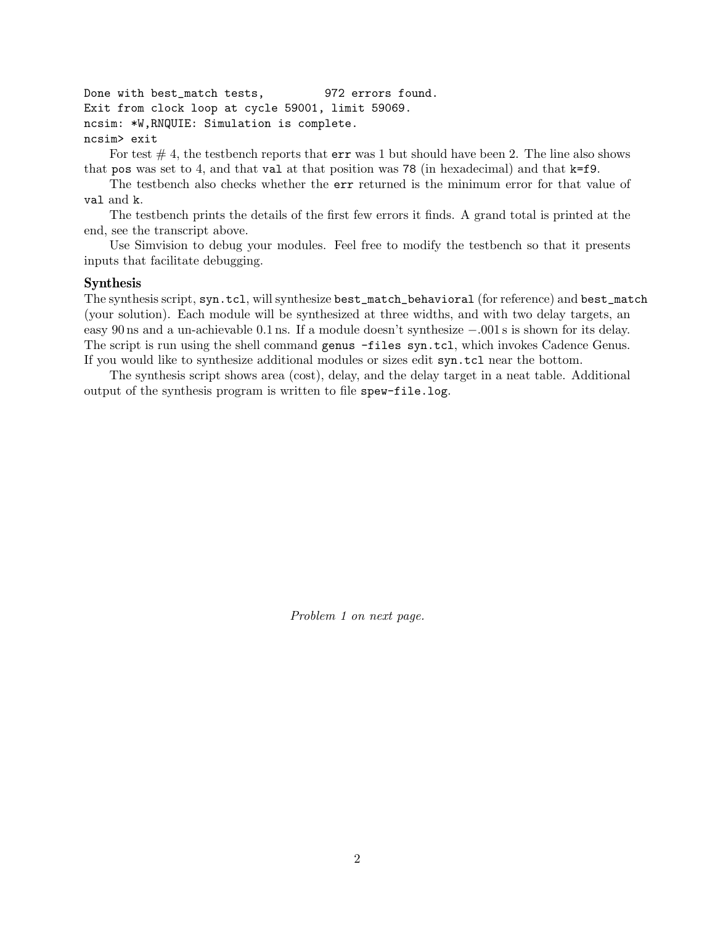Done with best\_match tests, 972 errors found. Exit from clock loop at cycle 59001, limit 59069. ncsim: \*W,RNQUIE: Simulation is complete. ncsim> exit

For test  $# 4$ , the testbench reports that  $err$  was 1 but should have been 2. The line also shows that pos was set to 4, and that val at that position was 78 (in hexadecimal) and that k=f9.

The testbench also checks whether the err returned is the minimum error for that value of val and k.

The testbench prints the details of the first few errors it finds. A grand total is printed at the end, see the transcript above.

Use Simvision to debug your modules. Feel free to modify the testbench so that it presents inputs that facilitate debugging.

## Synthesis

The synthesis script, syn.tcl, will synthesize best\_match\_behavioral (for reference) and best\_match (your solution). Each module will be synthesized at three widths, and with two delay targets, an easy 90 ns and a un-achievable 0.1 ns. If a module doesn't synthesize −.001 s is shown for its delay. The script is run using the shell command genus -files syn.tcl, which invokes Cadence Genus. If you would like to synthesize additional modules or sizes edit syn.tcl near the bottom.

The synthesis script shows area (cost), delay, and the delay target in a neat table. Additional output of the synthesis program is written to file spew-file.log.

Problem 1 on next page.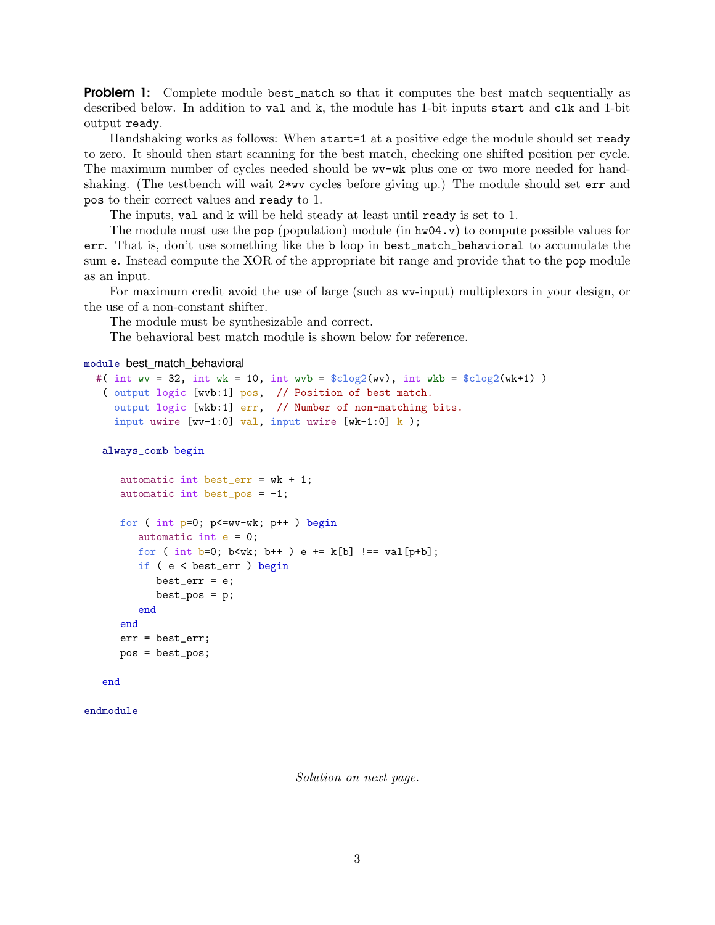**Problem 1:** Complete module best\_match so that it computes the best match sequentially as described below. In addition to val and k, the module has 1-bit inputs start and clk and 1-bit output ready.

Handshaking works as follows: When start=1 at a positive edge the module should set ready to zero. It should then start scanning for the best match, checking one shifted position per cycle. The maximum number of cycles needed should be wv-wk plus one or two more needed for handshaking. (The testbench will wait  $2*wy$  cycles before giving up.) The module should set err and pos to their correct values and ready to 1.

The inputs, val and k will be held steady at least until ready is set to 1.

The module must use the pop (population) module (in  $h\text{w04.}v$ ) to compute possible values for err. That is, don't use something like the b loop in best\_match\_behavioral to accumulate the sum e. Instead compute the XOR of the appropriate bit range and provide that to the pop module as an input.

For maximum credit avoid the use of large (such as wv-input) multiplexors in your design, or the use of a non-constant shifter.

The module must be synthesizable and correct.

The behavioral best match module is shown below for reference.

```
module best_match_behavioral
```

```
#( int wv = 32, int wk = 10, int wvb = \csc^2(wv), int wkb = \csc^2(wk+1))
 ( output logic [wvb:1] pos, // Position of best match.
   output logic [wkb:1] err, // Number of non-matching bits.
   input uwire [{\text{w-1:0}}] val, input uwire [{\text{wk-1:0}}] k);
```
always\_comb begin

```
automatic int best_err = wk + 1;
automatic int best_pos = -1;
for ( int p=0; p<=wv-wk; p++ ) begin
   automatic int e = 0;
  for ( int b=0; b<wk; b++ ) e += k[b] !== val[p+b];
   if ( e < best_err ) begin
     best_err = e;
      best_pos = p;end
end
err = best_err;
pos = best_pos;
```

```
end
```
endmodule

Solution on next page.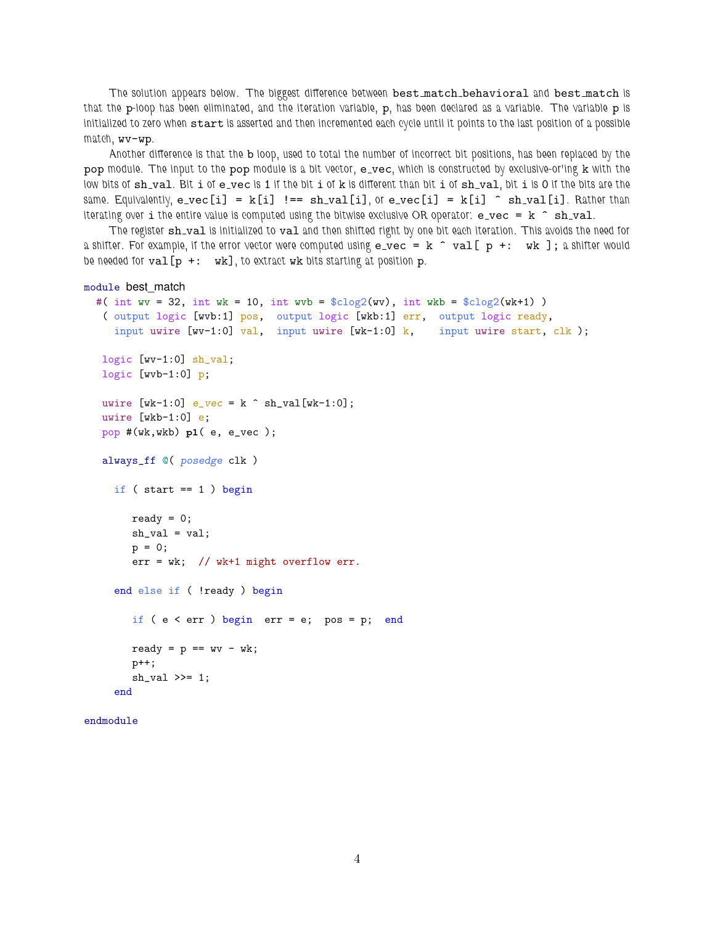The solution appears below. The biggest difference between best match behavioral and best match is that the p-loop has been eliminated, and the iteration variable, p, has been declared as a variable. The variable p is initialized to zero when start is asserted and then incremented each cycle until it points to the last position of a possible match, wv-wp.

Another difference is that the b loop, used to total the number of incorrect bit positions, has been replaced by the pop module. The input to the pop module is a bit vector, e\_vec, which is constructed by exclusive-or'ing k with the low bits of sh\_val. Bit i of e\_vec is 1 if the bit i of k is different than bit i of sh\_val, bit i is 0 if the bits are the same. Equivalently,  $e$ -vec[i] = k[i]  $!=$  sh-val[i], or e-vec[i] = k[i] ^ sh-val[i]. Rather than iterating over i the entire value is computed using the bitwise exclusive OR operator:  $e$ -vec =  $k \hat{ }$  sh-val.

The register sh\_val is initialized to val and then shifted right by one bit each iteration. This avoids the need for a shifter. For example, if the error vector were computed using  $e$ -vec =  $k$   $\hat{ }$  val[  $p +$ : wk ]; a shifter would be needed for  $val[p +: wk]$ , to extract wk bits starting at position p.

```
module best_match
```

```
#( int wv = 32, int wk = 10, int wvb = \csc(vv), int wkb = \csc(vv) )
( output logic [wvb:1] pos, output logic [wkb:1] err, output logic ready,
  input uwire [ww-1:0] val, input uwire [wk-1:0] k, input uwire start, clk);
logic [wv-1:0] sh_val;
logic [wb-1:0] p;
uwire [wk-1:0] e_{vec} = k \hat{ } sh_val[wk-1:0];
uwire [wkb-1:0] e;
pop #(wk,wkb) p1( e, e_vec );
always_ff @( posedge clk )
  if (start == 1) begin
     ready = 0;
     sh\_val = val;p = 0;err = wk; // wk+1 might overflow err.
   end else if ( !ready ) begin
     if ( e < err ) begin err = e; pos = p; end
     ready = p == wv - wk;p++;
     sh_val >>= 1;
   end
```

```
endmodule
```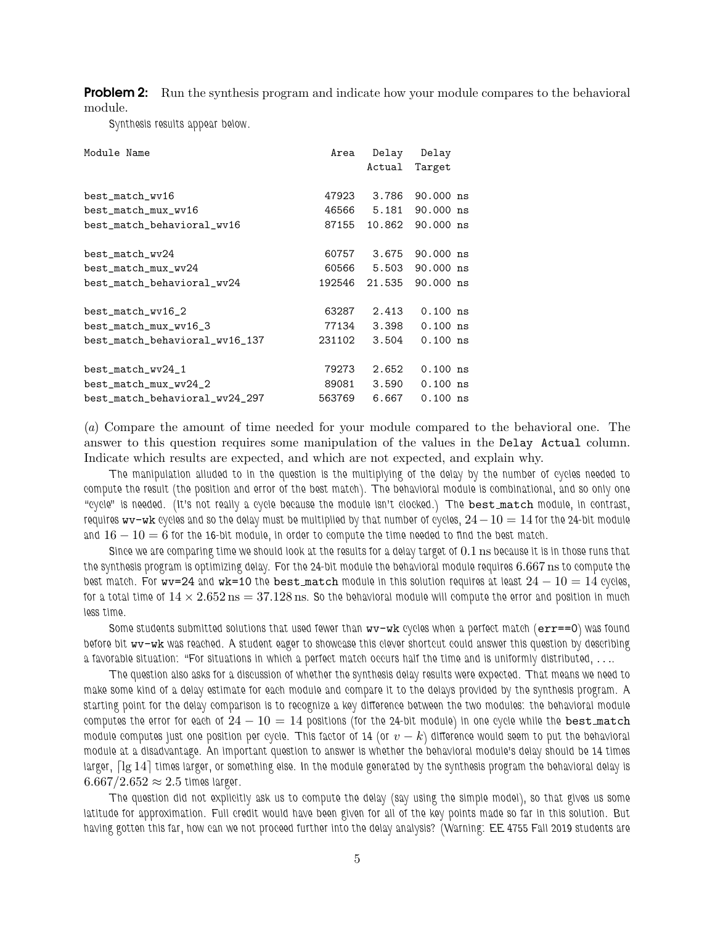**Problem 2:** Run the synthesis program and indicate how your module compares to the behavioral module.

Synthesis results appear below.

| Module Name                    | Area   | Delay<br>Actual | Delay<br>Target |
|--------------------------------|--------|-----------------|-----------------|
|                                |        |                 |                 |
| best_match_wv16                | 47923  | 3.786           | 90.000 ns       |
| best_match_mux_wv16            |        | 46566 5.181     | 90.000 ns       |
| best_match_behavioral_wv16     | 87155  | 10.862          | 90.000 ns       |
| best_match_wv24                | 60757  | 3.675           | 90.000 ns       |
| best_match_mux_wv24            | 60566  | 5.503           | 90.000 ns       |
| best_match_behavioral_wv24     | 192546 | 21.535          | 90.000 ns       |
| best_match_wv16_2              | 63287  | 2.413           | $0.100$ ns      |
| best_match_mux_wv16_3          | 77134  | 3.398           | $0.100$ ns      |
| best_match_behavioral_wv16_137 | 231102 | 3.504           | $0.100$ ns      |
| best_match_wv24_1              | 79273  | 2.652           | $0.100$ ns      |
| best_match_mux_wv24_2          | 89081  | 3.590           | $0.100$ ns      |
| best_match_behavioral_wv24_297 | 563769 | 6.667           | $0.100$ ns      |

(a) Compare the amount of time needed for your module compared to the behavioral one. The answer to this question requires some manipulation of the values in the Delay Actual column. Indicate which results are expected, and which are not expected, and explain why.

The manipulation alluded to in the question is the multiplying of the delay by the number of cycles needed to compute the result (the position and error of the best match). The behavioral module is combinational, and so only one "cycle" is needed. (It's not really a cycle because the module isn't clocked.) The best match module, in contrast, requires wv-wk cycles and so the delay must be multiplied by that number of cycles,  $24-10 = 14$  for the 24-bit module and  $16-10=6$  for the 16-bit module, in order to compute the time needed to find the best match.

Since we are comparing time we should look at the results for a delay target of 0.1 ns because it is in those runs that the synthesis program is optimizing delay. For the 24-bit module the behavioral module requires 6.667 ns to compute the best match. For  $wv=24$  and  $wk=10$  the best match module in this solution requires at least  $24-10=14$  cycles, for a total time of  $14 \times 2.652 \text{ ns} = 37.128 \text{ ns}$ . So the behavioral module will compute the error and position in much less time.

Some students submitted solutions that used fewer than wv-wk cycles when a perfect match (err==0) was found before bit wv-wk was reached. A student eager to showcase this clever shortcut could answer this question by describing a favorable situation: "For situations in which a perfect match occurs half the time and is uniformly distributed, . . ..

The question also asks for a discussion of whether the synthesis delay results were expected. That means we need to make some kind of a delay estimate for each module and compare it to the delays provided by the synthesis program. A starting point for the delay comparison is to recognize a key difference between the two modules: the behavioral module computes the error for each of  $24 - 10 = 14$  positions (for the 24-bit module) in one cycle while the best match module computes just one position per cycle. This factor of 14 (or  $v - k$ ) difference would seem to put the behavioral module at a disadvantage. An important question to answer is whether the behavioral module's delay should be 14 times larger,  $\lceil \lg 14 \rceil$  times larger, or something else. In the module generated by the synthesis program the behavioral delay is  $6.667/2.652 \approx 2.5$  times larger.

The question did not explicitly ask us to compute the delay (say using the simple model), so that gives us some latitude for approximation. Full credit would have been given for all of the key points made so far in this solution. But having gotten this far, how can we not proceed further into the delay analysis? (Warning: EE 4755 Fall 2019 students are